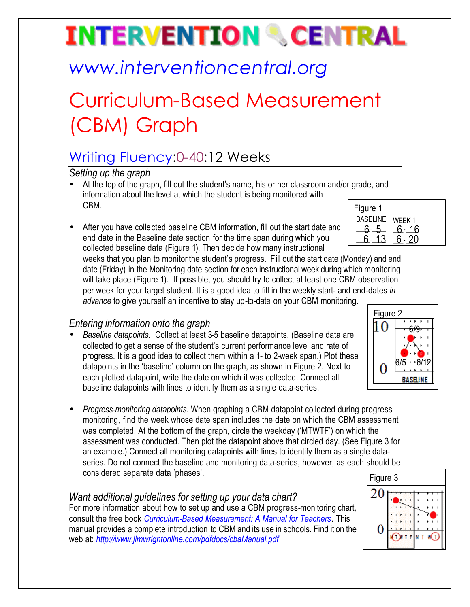# **INTERVENTION & CENTRAL**

## *www.interventioncentral.org*

## Curriculum-Based Measurement (CBM) Graph

### Writing Fluency:0-40:12 Weeks

*Setting up the graph*

- At the top of the graph, fill out the student's name, his or her classroom and/or grade, and information about the level at which the student is being monitored with CBM.
- After you have collected baseline CBM information, fill out the start date and end date in the Baseline date section for the time span during which you collected baseline data (Figure 1). Then decide how many instructional

| Figure 1        |        |
|-----------------|--------|
| <b>BASELINE</b> | WEEK 1 |
| հ- 5            | 6- 16  |
| -13             |        |
|                 |        |

weeks that you plan to monitor the student's progress. Fill out the start date (Monday) and end date (Friday) in the Monitoring date section for each instructional week during which monitoring will take place (Figure 1). If possible, you should try to collect at least one CBM observation per week for your target student. It is a good idea to fill in the weekly start- and end-dates *in advance* to give yourself an incentive to stay up-to-date on your CBM monitoring.

### *Entering information onto the graph*

- *Baseline datapoints*. Collect at least 3-5 baseline datapoints. (Baseline data are collected to get a sense of the student's current performance level and rate of progress. It is a good idea to collect them within a 1- to 2-week span.) Plot these datapoints in the 'baseline' column on the graph, as shown in Figure 2. Next to each plotted datapoint, write the date on which it was collected. Connect all baseline datapoints with lines to identify them as a single data-series.
- *Progress-monitoring datapoints*. When graphing a CBM datapoint collected during progress monitoring, find the week whose date span includes the date on which the CBM assessment was completed. At the bottom of the graph, circle the weekday ('MTWTF') on which the assessment was conducted. Then plot the datapoint above that circled day. (See Figure 3 for an example.) Connect all monitoring datapoints with lines to identify them as a single dataseries. Do not connect the baseline and monitoring data-series, however, as each should be considered separate data 'phases'.

### *Want additional guidelines for setting up your data chart?*

For more information about how to set up and use a CBM progress-monitoring chart, consult the free book *Curriculum-Based Measurement: A Manual for Teachers.* This manual provides a complete introduction to CBM and its use in schools. Find it on the web at: *http://www.jimwrightonline.com/pdfdocs/cbaManual.pdf*